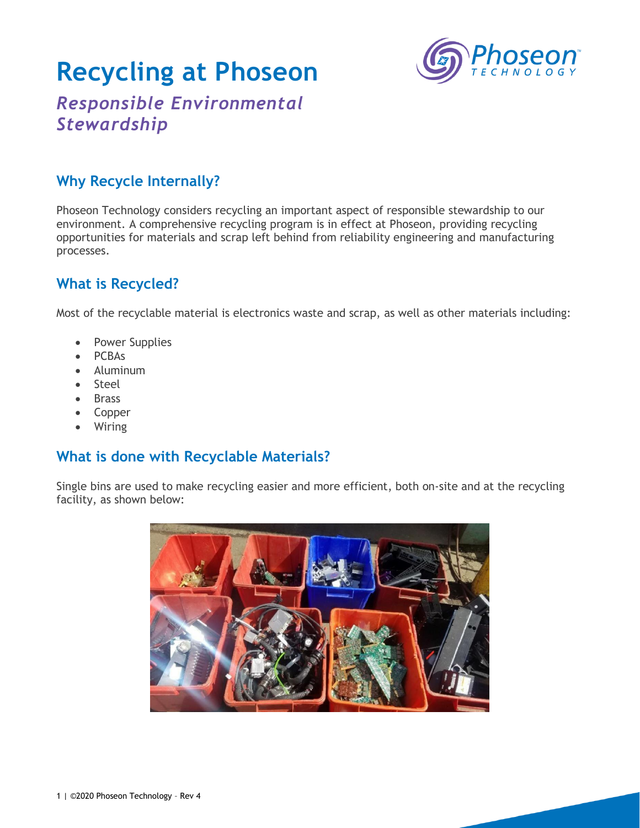# **Recycling at Phoseon**



## *Responsible Environmental Stewardship*

### **Why Recycle Internally?**

Phoseon Technology considers recycling an important aspect of responsible stewardship to our environment. A comprehensive recycling program is in effect at Phoseon, providing recycling opportunities for materials and scrap left behind from reliability engineering and manufacturing processes.

### **What is Recycled?**

Most of the recyclable material is electronics waste and scrap, as well as other materials including:

- Power Supplies
- PCBAs
- Aluminum
- Steel
- Brass
- Copper
- Wiring

#### **What is done with Recyclable Materials?**

Single bins are used to make recycling easier and more efficient, both on-site and at the recycling facility, as shown below: